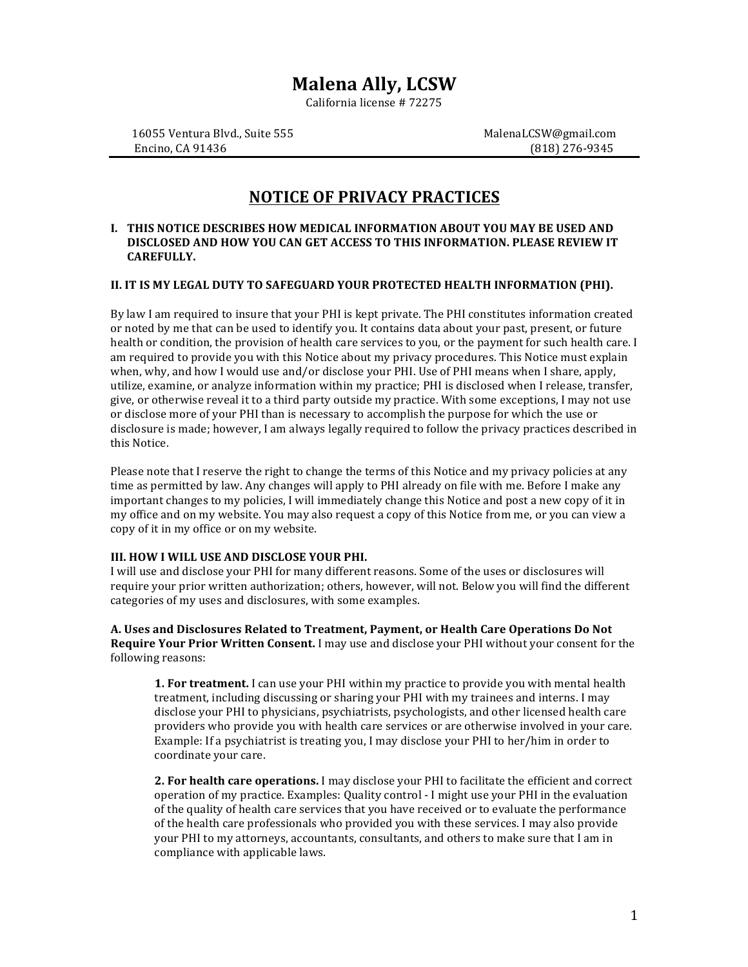# **Malena Ally, LCSW**

California license # 72275

16055 Ventura Blvd., Suite 555 MalenaLCSW@gmail.com Encino, CA 91436 (818) 276-9345

# **NOTICE OF PRIVACY PRACTICES**

### **I. THIS NOTICE DESCRIBES HOW MEDICAL INFORMATION ABOUT YOU MAY BE USED AND DISCLOSED AND HOW YOU CAN GET ACCESS TO THIS INFORMATION. PLEASE REVIEW IT CAREFULLY.**

## **II. IT IS MY LEGAL DUTY TO SAFEGUARD YOUR PROTECTED HEALTH INFORMATION (PHI).**

By law I am required to insure that your PHI is kept private. The PHI constitutes information created or noted by me that can be used to identify you. It contains data about your past, present, or future health or condition, the provision of health care services to you, or the payment for such health care. I am required to provide you with this Notice about my privacy procedures. This Notice must explain when, why, and how I would use and/or disclose your PHI. Use of PHI means when I share, apply, utilize, examine, or analyze information within my practice; PHI is disclosed when I release, transfer, give, or otherwise reveal it to a third party outside my practice. With some exceptions, I may not use or disclose more of your PHI than is necessary to accomplish the purpose for which the use or disclosure is made; however, I am always legally required to follow the privacy practices described in this Notice. 

Please note that I reserve the right to change the terms of this Notice and my privacy policies at any time as permitted by law. Any changes will apply to PHI already on file with me. Before I make any important changes to my policies, I will immediately change this Notice and post a new copy of it in my office and on my website. You may also request a copy of this Notice from me, or you can view a copy of it in my office or on my website.

## **III. HOW I WILL USE AND DISCLOSE YOUR PHI.**

I will use and disclose your PHI for many different reasons. Some of the uses or disclosures will require your prior written authorization; others, however, will not. Below you will find the different categories of my uses and disclosures, with some examples.

A. Uses and Disclosures Related to Treatment, Payment, or Health Care Operations Do Not **Require Your Prior Written Consent.** I may use and disclose your PHI without your consent for the following reasons:

**1. For treatment.** I can use your PHI within my practice to provide you with mental health treatment, including discussing or sharing your PHI with my trainees and interns. I may disclose your PHI to physicians, psychiatrists, psychologists, and other licensed health care providers who provide you with health care services or are otherwise involved in your care. Example: If a psychiatrist is treating you, I may disclose your PHI to her/him in order to coordinate vour care.

**2. For health care operations.** I may disclose your PHI to facilitate the efficient and correct operation of my practice. Examples: Quality control - I might use your PHI in the evaluation of the quality of health care services that you have received or to evaluate the performance of the health care professionals who provided you with these services. I may also provide your PHI to my attorneys, accountants, consultants, and others to make sure that I am in compliance with applicable laws.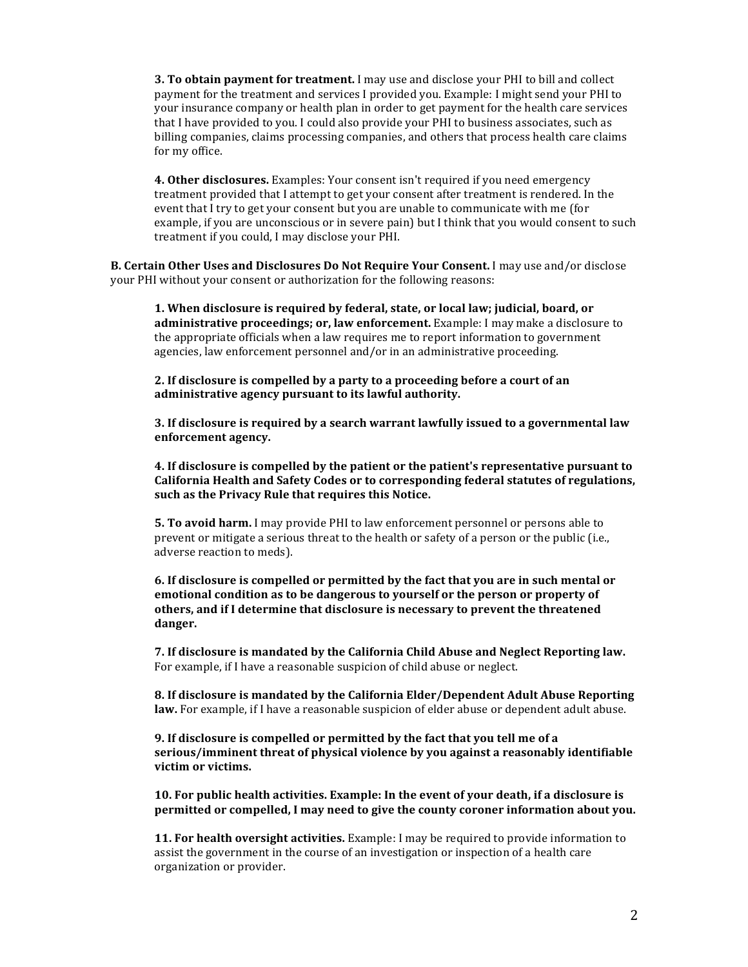**3. To obtain payment for treatment.** I may use and disclose your PHI to bill and collect payment for the treatment and services I provided you. Example: I might send your PHI to your insurance company or health plan in order to get payment for the health care services that I have provided to you. I could also provide your PHI to business associates, such as billing companies, claims processing companies, and others that process health care claims for my office.

**4. Other disclosures.** Examples: Your consent isn't required if you need emergency treatment provided that I attempt to get your consent after treatment is rendered. In the event that I try to get your consent but you are unable to communicate with me (for example, if you are unconscious or in severe pain) but I think that you would consent to such treatment if you could, I may disclose your PHI.

**B.** Certain Other Uses and Disclosures Do Not Require Your Consent. I may use and/or disclose your PHI without your consent or authorization for the following reasons:

1. When disclosure is required by federal, state, or local law; judicial, board, or **administrative proceedings; or, law enforcement.** Example: I may make a disclosure to the appropriate officials when a law requires me to report information to government agencies, law enforcement personnel and/or in an administrative proceeding.

**2.** If disclosure is compelled by a party to a proceeding before a court of an administrative agency pursuant to its lawful authority.

**3.** If disclosure is required by a search warrant lawfully issued to a governmental law **enforcement agency.** 

**4.** If disclosure is compelled by the patient or the patient's representative pursuant to California Health and Safety Codes or to corresponding federal statutes of regulations, such as the Privacy Rule that requires this Notice.

**5. To avoid harm.** I may provide PHI to law enforcement personnel or persons able to prevent or mitigate a serious threat to the health or safety of a person or the public (i.e., adverse reaction to meds).

**6.** If disclosure is compelled or permitted by the fact that you are in such mental or **emotional condition as to be dangerous to yourself or the person or property of** others, and if I determine that disclosure is necessary to prevent the threatened danger.

**7.** If disclosure is mandated by the California Child Abuse and Neglect Reporting law. For example, if I have a reasonable suspicion of child abuse or neglect.

**8.** If disclosure is mandated by the California Elder/Dependent Adult Abuse Reporting **law.** For example, if I have a reasonable suspicion of elder abuse or dependent adult abuse.

**9.** If disclosure is compelled or permitted by the fact that you tell me of a serious/imminent threat of physical violence by you against a reasonably identifiable victim or victims.

**10. For public health activities. Example: In the event of your death, if a disclosure is permitted or compelled, I may need to give the county coroner information about you.** 

**11. For health oversight activities.** Example: I may be required to provide information to assist the government in the course of an investigation or inspection of a health care organization or provider.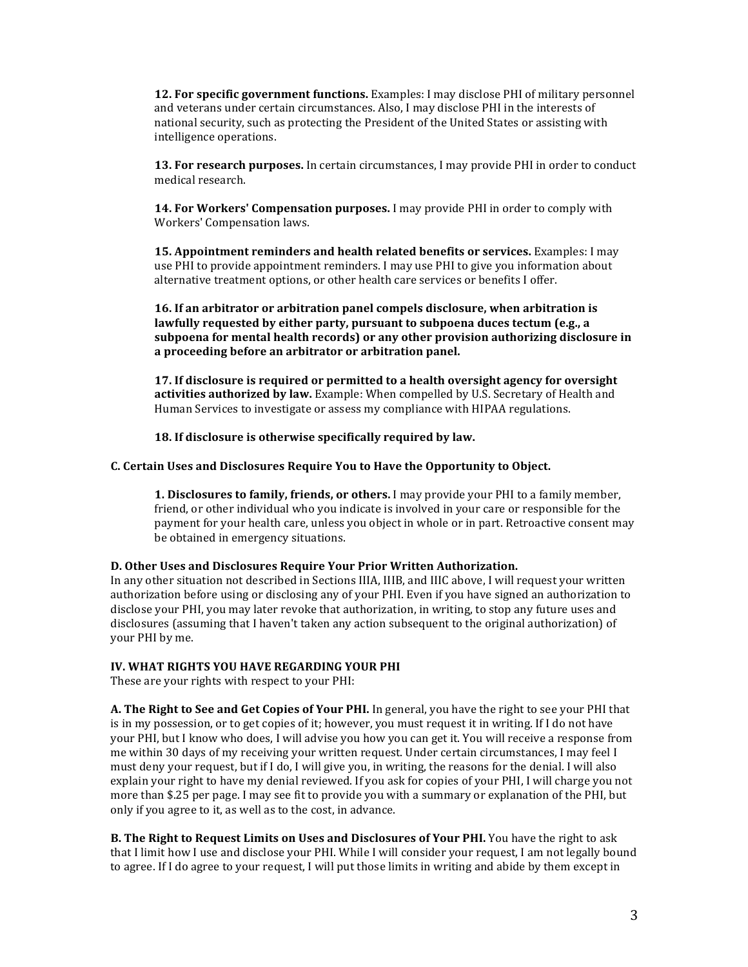**12. For specific government functions.** Examples: I may disclose PHI of military personnel and veterans under certain circumstances. Also, I may disclose PHI in the interests of national security, such as protecting the President of the United States or assisting with intelligence operations.

**13. For research purposes.** In certain circumstances, I may provide PHI in order to conduct medical research.

**14. For Workers' Compensation purposes.** I may provide PHI in order to comply with Workers' Compensation laws.

**15. Appointment reminders and health related benefits or services.** Examples: I may use PHI to provide appointment reminders. I may use PHI to give you information about alternative treatment options, or other health care services or benefits I offer.

**16.** If an arbitrator or arbitration panel compels disclosure, when arbitration is lawfully requested by either party, pursuant to subpoena duces tectum (e.g., a subpoena for mental health records) or any other provision authorizing disclosure in a proceeding before an arbitrator or arbitration panel.

**17.** If disclosure is required or permitted to a health oversight agency for oversight activities authorized by law. Example: When compelled by U.S. Secretary of Health and Human Services to investigate or assess my compliance with HIPAA regulations.

**18.** If disclosure is otherwise specifically required by law.

#### **C. Certain Uses and Disclosures Require You to Have the Opportunity to Object.**

**1.** Disclosures to family, friends, or others. I may provide your PHI to a family member, friend, or other individual who you indicate is involved in your care or responsible for the payment for your health care, unless you object in whole or in part. Retroactive consent may be obtained in emergency situations.

#### **D.** Other Uses and Disclosures Require Your Prior Written Authorization.

In any other situation not described in Sections IIIA, IIIB, and IIIC above, I will request your written authorization before using or disclosing any of your PHI. Even if you have signed an authorization to disclose your PHI, you may later revoke that authorization, in writing, to stop any future uses and disclosures (assuming that I haven't taken any action subsequent to the original authorization) of your PHI by me.

### **IV. WHAT RIGHTS YOU HAVE REGARDING YOUR PHI**

These are your rights with respect to your PHI:

**A.** The Right to See and Get Copies of Your PHI. In general, you have the right to see your PHI that is in my possession, or to get copies of it; however, you must request it in writing. If I do not have your PHI, but I know who does, I will advise you how you can get it. You will receive a response from me within 30 days of my receiving your written request. Under certain circumstances, I may feel I must deny your request, but if I do, I will give you, in writing, the reasons for the denial. I will also explain your right to have my denial reviewed. If you ask for copies of your PHI, I will charge you not more than \$.25 per page. I may see fit to provide you with a summary or explanation of the PHI, but only if you agree to it, as well as to the cost, in advance.

**B.** The Right to Request Limits on Uses and Disclosures of Your PHI. You have the right to ask that I limit how I use and disclose your PHI. While I will consider your request, I am not legally bound to agree. If I do agree to your request, I will put those limits in writing and abide by them except in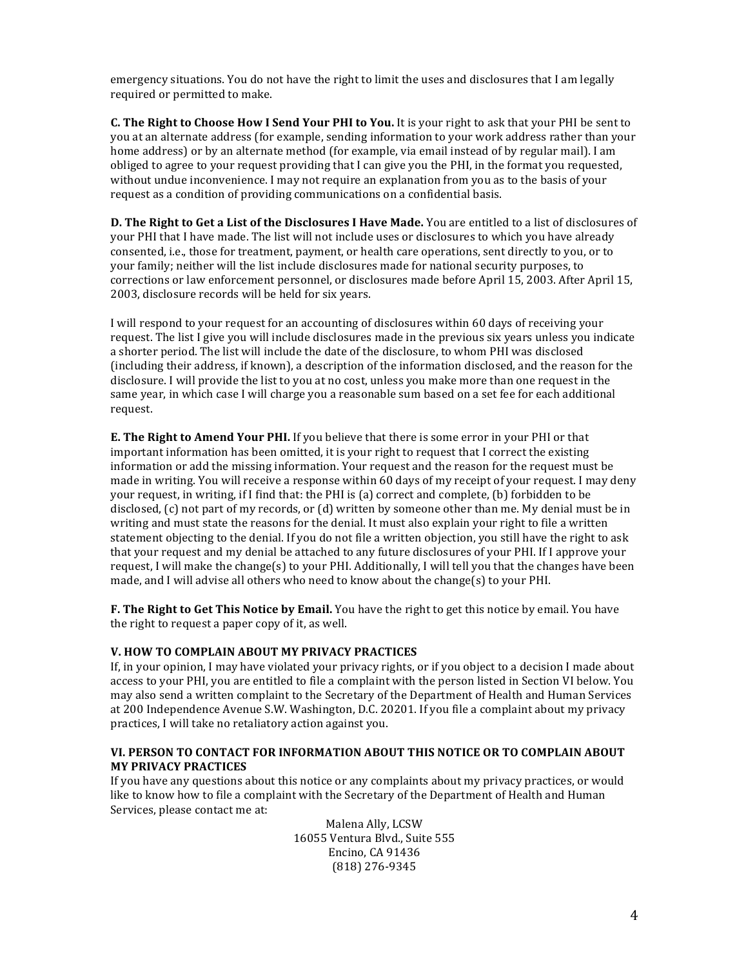emergency situations. You do not have the right to limit the uses and disclosures that I am legally required or permitted to make.

**C.** The Right to Choose How I Send Your PHI to You. It is your right to ask that your PHI be sent to you at an alternate address (for example, sending information to your work address rather than your home address) or by an alternate method (for example, via email instead of by regular mail). I am obliged to agree to your request providing that I can give you the PHI, in the format you requested, without undue inconvenience. I may not require an explanation from you as to the basis of your request as a condition of providing communications on a confidential basis.

**D.** The Right to Get a List of the Disclosures I Have Made. You are entitled to a list of disclosures of your PHI that I have made. The list will not include uses or disclosures to which you have already consented, i.e., those for treatment, payment, or health care operations, sent directly to you, or to your family; neither will the list include disclosures made for national security purposes, to corrections or law enforcement personnel, or disclosures made before April 15, 2003. After April 15, 2003, disclosure records will be held for six years.

I will respond to your request for an accounting of disclosures within 60 days of receiving your request. The list I give you will include disclosures made in the previous six years unless you indicate a shorter period. The list will include the date of the disclosure, to whom PHI was disclosed (including their address, if known), a description of the information disclosed, and the reason for the disclosure. I will provide the list to you at no cost, unless you make more than one request in the same year, in which case I will charge you a reasonable sum based on a set fee for each additional request. 

**E.** The Right to Amend Your PHI. If you believe that there is some error in your PHI or that important information has been omitted, it is your right to request that I correct the existing information or add the missing information. Your request and the reason for the request must be made in writing. You will receive a response within 60 days of my receipt of your request. I may deny your request, in writing, if I find that: the PHI is (a) correct and complete, (b) forbidden to be disclosed,  $(c)$  not part of my records, or  $(d)$  written by someone other than me. My denial must be in writing and must state the reasons for the denial. It must also explain your right to file a written statement objecting to the denial. If you do not file a written objection, you still have the right to ask that your request and my denial be attached to any future disclosures of your PHI. If I approve your request, I will make the change(s) to your PHI. Additionally, I will tell you that the changes have been made, and I will advise all others who need to know about the change(s) to your PHI.

**F.** The Right to Get This Notice by Email. You have the right to get this notice by email. You have the right to request a paper copy of it, as well.

## **V. HOW TO COMPLAIN ABOUT MY PRIVACY PRACTICES**

If, in your opinion, I may have violated your privacy rights, or if you object to a decision I made about access to your PHI, you are entitled to file a complaint with the person listed in Section VI below. You may also send a written complaint to the Secretary of the Department of Health and Human Services at 200 Independence Avenue S.W. Washington, D.C. 20201. If you file a complaint about my privacy practices, I will take no retaliatory action against you.

## VI. PERSON TO CONTACT FOR INFORMATION ABOUT THIS NOTICE OR TO COMPLAIN ABOUT **MY PRIVACY PRACTICES**

If you have any questions about this notice or any complaints about my privacy practices, or would like to know how to file a complaint with the Secretary of the Department of Health and Human Services, please contact me at:

> Malena Ally, LCSW 16055 Ventura Blvd., Suite 555 Encino, CA 91436 (818) 276-9345